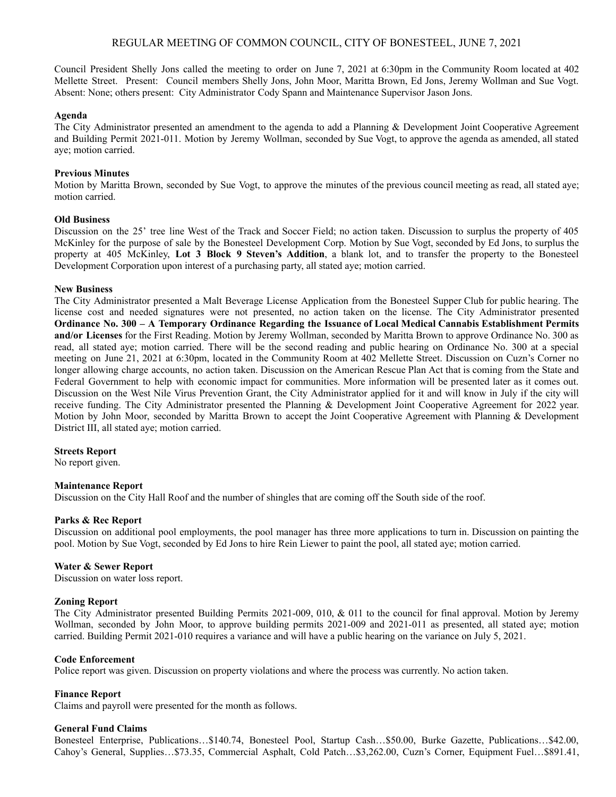# REGULAR MEETING OF COMMON COUNCIL, CITY OF BONESTEEL, JUNE 7, 2021

Council President Shelly Jons called the meeting to order on June 7, 2021 at 6:30pm in the Community Room located at 402 Mellette Street. Present: Council members Shelly Jons, John Moor, Maritta Brown, Ed Jons, Jeremy Wollman and Sue Vogt. Absent: None; others present: City Administrator Cody Spann and Maintenance Supervisor Jason Jons.

## **Agenda**

The City Administrator presented an amendment to the agenda to add a Planning & Development Joint Cooperative Agreement and Building Permit 2021-011. Motion by Jeremy Wollman, seconded by Sue Vogt, to approve the agenda as amended, all stated aye; motion carried.

### **Previous Minutes**

Motion by Maritta Brown, seconded by Sue Vogt, to approve the minutes of the previous council meeting as read, all stated aye; motion carried.

#### **Old Business**

Discussion on the 25' tree line West of the Track and Soccer Field; no action taken. Discussion to surplus the property of 405 McKinley for the purpose of sale by the Bonesteel Development Corp. Motion by Sue Vogt, seconded by Ed Jons, to surplus the property at 405 McKinley, **Lot 3 Block 9 Steven's Addition**, a blank lot, and to transfer the property to the Bonesteel Development Corporation upon interest of a purchasing party, all stated aye; motion carried.

#### **New Business**

The City Administrator presented a Malt Beverage License Application from the Bonesteel Supper Club for public hearing. The license cost and needed signatures were not presented, no action taken on the license. The City Administrator presented **Ordinance No. 300 – A Temporary Ordinance Regarding the Issuance of Local Medical Cannabis Establishment Permits and/or Licenses** for the First Reading. Motion by Jeremy Wollman, seconded by Maritta Brown to approve Ordinance No. 300 as read, all stated aye; motion carried. There will be the second reading and public hearing on Ordinance No. 300 at a special meeting on June 21, 2021 at 6:30pm, located in the Community Room at 402 Mellette Street. Discussion on Cuzn's Corner no longer allowing charge accounts, no action taken. Discussion on the American Rescue Plan Act that is coming from the State and Federal Government to help with economic impact for communities. More information will be presented later as it comes out. Discussion on the West Nile Virus Prevention Grant, the City Administrator applied for it and will know in July if the city will receive funding. The City Administrator presented the Planning & Development Joint Cooperative Agreement for 2022 year. Motion by John Moor, seconded by Maritta Brown to accept the Joint Cooperative Agreement with Planning & Development District III, all stated aye; motion carried.

#### **Streets Report**

No report given.

#### **Maintenance Report**

Discussion on the City Hall Roof and the number of shingles that are coming off the South side of the roof.

#### **Parks & Rec Report**

Discussion on additional pool employments, the pool manager has three more applications to turn in. Discussion on painting the pool. Motion by Sue Vogt, seconded by Ed Jons to hire Rein Liewer to paint the pool, all stated aye; motion carried.

#### **Water & Sewer Report**

Discussion on water loss report.

#### **Zoning Report**

The City Administrator presented Building Permits 2021-009, 010, & 011 to the council for final approval. Motion by Jeremy Wollman, seconded by John Moor, to approve building permits 2021-009 and 2021-011 as presented, all stated aye; motion carried. Building Permit 2021-010 requires a variance and will have a public hearing on the variance on July 5, 2021.

#### **Code Enforcement**

Police report was given. Discussion on property violations and where the process was currently. No action taken.

# **Finance Report**

Claims and payroll were presented for the month as follows.

#### **General Fund Claims**

Bonesteel Enterprise, Publications…\$140.74, Bonesteel Pool, Startup Cash…\$50.00, Burke Gazette, Publications…\$42.00, Cahoy's General, Supplies…\$73.35, Commercial Asphalt, Cold Patch…\$3,262.00, Cuzn's Corner, Equipment Fuel…\$891.41,